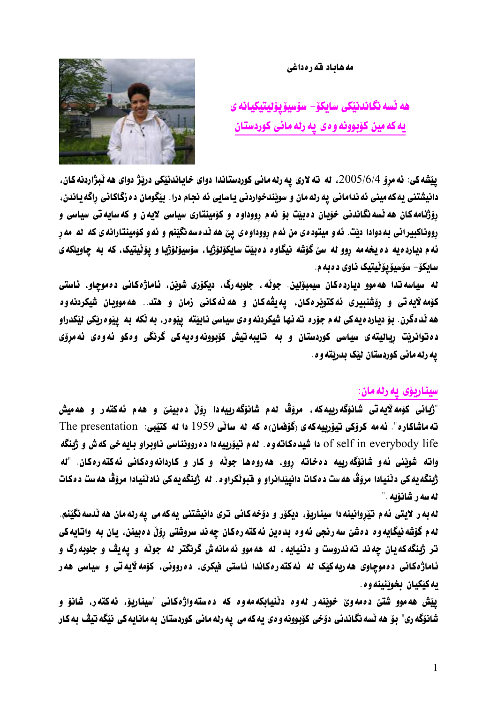#### مه هاباد قه ره داغی

ھە ٽسە نگاندننكى سابكۆ– سۆسىۆ بۆلىتىكيانە ي يه که مين کۆبوونه و ه ی په رنه مانی کوردستان



ييّشه کي: ئه مروّ 2005/6/4، له ته لاري يه رله ماني کوردستاندا دواي خاياندنيّکي دريّژ دواي هه ٽبژاردنه کان، دانيشتني يه كه ميني ئه نداماني يه رله مان و سويندخواردني ياسايي ئه نجام درا. بيّگومان ده زگاكاني راگه ياندن، رۆژنامهکان هه نسه نگاندنی خوّیان دهبیّت بوّ ئهم رووداوه و کوّمینتاری سیاسی لایه ن و که سایه تی سیاسی و رووناکبيراني به دوادا ديت. نه و ميتود دي من نه م رووداو دي پيّ هه ند دسه نگينم و نه و کومينتارانه ي که نه مه ر ئه م ديارد ه يه ده يخه مه روو له سيّ گۆشه نيگاوه ده بيّت سايكۆلۆژيا، سۆسيۆلۆژيا و پۆٽيتيک، كه به چاويلكه ي سايکۆ– سۆسيۆيۆٽيتيک ناوي دەبەم.

له سياسه تدا هه موو دياردهکان سيمبوّنين. جوٽه، جلوبه رگ، ديکوّري شويّن، ئاماژهکاني دهموچاو، ئاستي کۆمه لايه تي و رۆشنبيري ئه کتويره کان، يه يڤه کان و هه ٽه کاني زمان و هتد.. هه موويان شيکردنه وه هه ندهگرن. بوّ ديارده يه کي له م جوّره ته نها شيکردنه و دي سياسي نابيّته پيپوه ر، به نکه به پيپوه ربکي ليّکدراو دەتوانریت ریالیته ی سیاسی کوردستان و به تایبهتیش کۆبوونهوەیهکی گرنگی وەکو ئەوەی ئەمرۆی يه رله ماني كوردستان ليك بدريته و ه.

## سيناريۆي يەرلەمان:

"ژبانی کۆمەلايەتی شانۆگەرىيەکە، مرۆڤ ئەم شانۆگەرىيەدا رۆڵ دەبينىّ و ھەم ئەكتەر و ھەمپش ته ماشاكاره". ئه مه كرۆكى تيۆرىيەكەي (گۆفمان) د كە نە سانى 1959 دا نە كتيبى: The presentation of self in everybody life دا شيد مكاته وه. له م تيوّرييه دا ده روونناسي ناوبراو بايه خي كه ش و ژبنگه واته شويّني نُهو شانوَگهرييه دەخاته روو، ههروەها جوٽه و كار و كاردانهوەكاني ئهكتهرەكان. "له ژينگه يه کي دٽنيادا مروّڤ هه ست د هکات دانپيّدانراو و فبوٽکراوه. له ژينگه يه کي نادٽنيادا مروّڤ هه ست د مکات له سه ر شانۆيه ."

له به ر لايتي ئه م تيّروانينه دا سيناريوّ. ديكوّر و دوّخه كاني ترى دانيشتني يه كه مي يه رله مان هه لّدسه نگيّنم لهم گۆشه نيگايهوه دهشێ سهرنجي ئهوه بدهين ئهكتهرهكان چهند سروشتي رۆێ دهبينن، پان به واتايهكي تر ژبنگه که یان چه ند ته ندروست و دننیایه ، نه هه موو نه مانه ش گرنگتر نه جونه و یه یڤ و جلوبه رگ و ئاماژهکانی دهموچاوی هه ربهکیک له ئهکته رهکاندا ئاستی فیکری، ده روونی، کومه لایه تی و سیاسی هه ر يه کێکيان بخوێنينه و ه .

ييّش هه موو شتيّ ده مه ويّ خويّنه ر له وه دنيّيابكه مه وه كه ده سته واژه كاني "سيناريوّ، ئه كته ر، شانوّ و شانۆگە رى" بۆ ھە ٽسە نگاندنى دۆخى كۆبوونە و ەي يەكەمى يە رلەمانى كوردستان بەمانايەكى نێگە تيڤ بەكار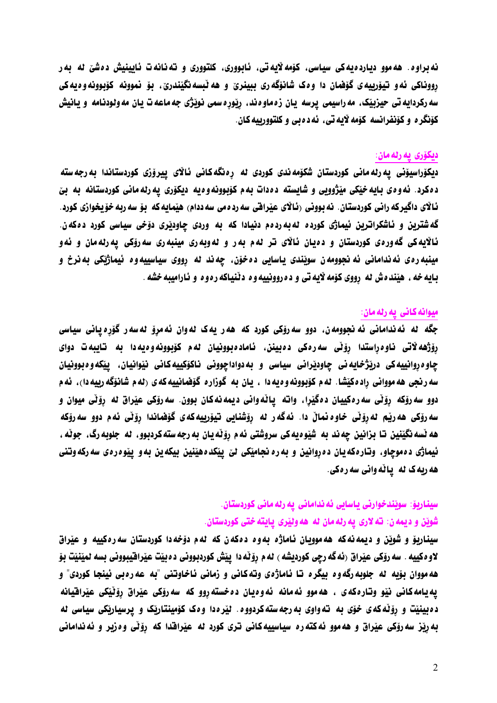نه براوه. هه موو دیارده یه کی سیاسی، کۆمه لایه تی، ئابووری، کلتووری و ته نانه ت ئایینیش دهشیّ له به ر رووناکي ئه و تيوّرييه ي گوْهْمان دا و ه کشانوگه ري ببينريّ و هه ٽبسه نگيّندريّ، بوّ نموونه کوّبوونه و ديه کي سه رکردایه تی حیزبیّک، مه راسیمی یرسه یان زهماوهند، رِیّورِهسمی نویّژی جه ماعه ت یان مه ولودنامه و یانیش کۆنگر ه و کۆنفرانسه کۆمه لايه تي، ئه د ه بي و کلتوورييه کان.

### ديكۆرى يە رلەمان:

دیکۆراسیۆنی یه رله مانی کوردستان شکۆمه ندی کوردی له رەنگه کانی ئالای ییرۆزی کوردستاندا به رجه سته د ه کرد. نه و ه ی بایه خیکی میژوویی و شایسته د ه دات به م کوّبوونه و ه یه دیکوّری په رله مانی کوردستانه به بیّ ئالاي داگيركه راني كوردستان. نه بووني رئالاي عيّرافي سه رده مي سه ددام) هيّمايه كه بوّ سه ربه خوّيخوازي كورد. گه شترین و ناشکراترین نیماژی کورده له به ردهم دنیادا که به وردی چاودیری دوّخی سیاسی کورد دهکهن. ئالايه کې گهورهي کوردستان و دهيان ئالاي تر نهم بهر و نهوبهري مينبهري سهروکي پهرنهمان و ئهو مينبه رهي ئه نداماني ئه نجوومه ن سوێندي پاسايي ده خوّن، چه ند له رووي سياسييه وه ئيماژێکي به نرخ و بايه خه ، هيّنده ش له رووي كۆمه لايه تي و ده روونييه وه دنّنياكه ره وه و ئاراميبه خشه .

## ميوانه كاني يه رله مان:

جگه له ئهندامانی ئه نجوومهن، دوو سهرۆکی کورد که ههر یهک لهوان ئهمروّ لهسهر گۆرهیانی سیاسی رۆژهه لاتی ناوەراستدا رۆٽی سەرەکی دەبینز، ئامادەبوونیان ئەم کۆبوونەوەيەدا بە تايبەت دوای چاوه روانپيه کي درپَژخايه ني چاودپراني سياسي و به دواداچووني ناکوکييه کاني نيوانيان، پيکه وه بوونيان سه رنجي هه موواني راد هکيشا. له م کوّبوونه و ه يه دا ، پان به گوزاره گوفمانييه که ي (له م شانوَگه رييه دا)، ئه م دوو سه رۆکه رۆٽی سه رهکیپان دمگیرا، واته یاٽهوانی دیمه نهکان بوون. سه رۆکی عیّراق له رۆٽی میوان و سه رۆكى هه رێم له رۆٽى خاوەنماڵ دا. ئەگەر لە رۆشنايى تيۆرييەكەي گۆفماندا رۆٽى ئەم دوو سەرۆكە هه نسه نگینین تا بزانین چه ند به شیوه یه کی سروشتی ئه م روّنه یان به رجه سته کردبوو، له جلوبه رگ، جونه ، ئیماژی دهموچاو، وتارهکه یان ده روانین و به ره نجامیکی لیّ پیکدههینین بیکه ین به و پیوه ره ی سه رکه وتنی هه ربه ک له یاله وانی سه ره کی.

# سیناریو٘: سوێندخوارنی یاسایی ئه ندامانی یه رله مانی کوردستان. شويّن و ديمه ن: ته لاري په رله مان له هه وليّري پـايـته ختي كوردستان.

سیناریو و شوین و دیمه نه که هه موویان ناماژه به وه دهکه ن که نهم دوخه دا کوردستان سه رهکییه و عیراق لاو ه کييه . سه روکي عيراق (ئه گه رڃي کورديشه ) له م روِّ له دا پيش کوردبووني د ه بيت عيرافيبووني بسه لمينيّت بو هه مووان بۆيه له جلوبه رگه و د بيگر د تا ناماژه ی وته کانی و زمانی ناخاوتنی "به عه ره بی نينجا کوردی" و يه يامه کاني نيّو وتاره که ي . هه موو ئه مانه ئه و ديان ده خسته روو که سه روّکي عيّراق روّنيّکي عيّرافيانه د دبینیت و رۆندکه ی خوّی به ته واوی به رجه سته کردووه. نیرهدا و ه ککومینتاریک و پرسیاریکی سیاسی نه به ربّز سه روّکی عیّراق و هه موو ئه کته ره سیاسییه کانی تری کورد له عیّرافدا که روّثی وه زیر و ئه ندامانی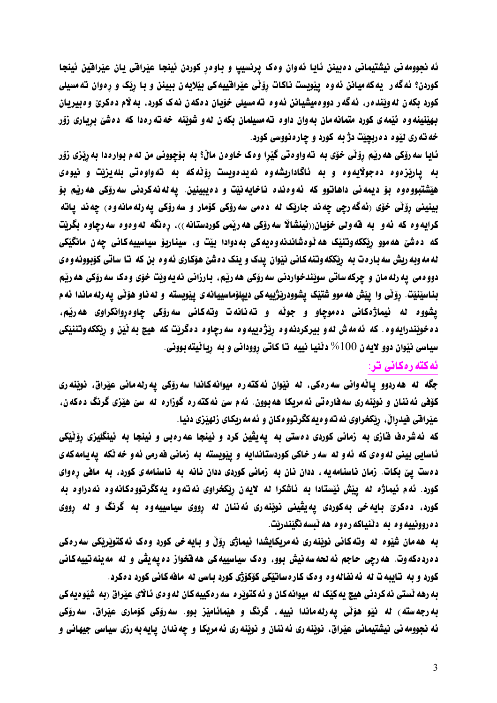ئه نجوومه ني نيشتيماني دهبينن ئايا ئه وان وهک پرنسيپ و باوهر کوردن ئينجا عيّراقي يان عيّرافين ئينجا کوردن؟ ئهگه ر یهکهمیانن ئه وه پیّویست ناکات رِوّنّی عیّرافییهکی بیّلایه ن ببینن و با رِیّک و رِهوان تهمسیلی کورد بکه ن له وينده ر، نهگه ر دووه ميشيانن نه وه ته مسيلي خوّيان دهکه ن نهک کورد، به لام دهکري وه بيريان بهینینه وه نیّمه ی کورد متمانه مان به وان داوه ته مسیلمان بکه ن نه و شویّنه خه ته ره دا که دهشیّ برِیاری زوّر خه ته ري ليّوه ده ربچيّت دژ به کورد و چاره نووسي کورد.

ئايا سه روّکي هه رپّم روّٽي خوّي به ته واو ه تي گَيّرا و ه ک خاو ه ن ماڻ؟ به بوّچووني من له م بوار ه دا به ربّزي زوّر به یارتزهوه ده جولایهوه و به ناگاداریشهوه نهیدهویست روّنهکه به تهواوهتی بلهیزیّت و نیوهی هيّشتبووهوه بوّ ديمه ني داهاتوو كه ئهوه نده ناخايه نيّت و دهيبينين. يه له نه كردني سه روّكي هه ريّم بوّ بینینی رۆٽی خوّی (ئهگه رچی چه ند جارێک له دهمی سه روّکی کوّمار و سه روّکی یه رله مانه وه) چه ند یاته كرايه وه كه ئه و به قه ولى خوّيان((ئينشالا سه روّكى هه ريّمى كوردستانه))، رەنگه له و ه وه سه رچاوه بگريّت که دهشن هه موو ریککهوتنیک هه نوهشاندنهوه یه کی به دوادا بیّت و، سیناریوْ سیاسییه کانی چه ن مانگیکی له مه وبه ريش سه باره ت به ريككه وتنه كاني نيوان يدك و ينك دهشن هۆكاري ئه و ه بن كه تا ساتي كۆبوونه و ه ي دوو مي په رله مان و چرکه ساتي سويندخواردني سه روکي هه ريم، بارزاني نه په ويت خوّي و ه ک سه روکي هه ريم بِناسِيْنيْت. روْنِّي وا ِييْش هه موو شتيْک يشوودريْژييه کي ديپلوْماسِييانه ي ييويسته و له ناو هوّنِّي يه رله ماندا ئه م یشووه له ئیماژهکانی دهموچاو و جوٽه و تهنانهت وتهکانی سهروّکی چاوهڕوانکراوی ههریّم، ده خويندرايه وه . كه ئه مه ش نه و بيركردنه وه ريّژه پيه وه سه رچاوه دهگريّت كه هيچ به نَيّن و ريككه وتننيكي سياسي نيوان دوو لايه ن 100% دٽنيا نييه تا کاتي رووداني و به ربائيته بووني.

## ئه کته ره کانی تر:

جگه له هه ردوو یاٽهوانی سه رهکی، له نیّوان ئهکته ره میوانهکاندا سه روّکی یه رله مانی عیّراق، نویّنه ری کۆفی ئه ننان و نوێنه ری سه فاره تی ئه مریکا هه بوون. ئه م سیّ ئه کته ره گوزاره له سیّ هیّزی گرنگ دهکه ن، عيّرافي فيدرالْ، ربْكخراوي نه ته و ه يه كگرتوو ه كان و ئه مه ربكاي زلهيّزي دنيا .

که نهشرهف قازی به زمانی کوردی دهستی به یهیڤین کرد و نینجا عه<code>ره</code>بی و نینجا به نینگلیزی رۆێێکی ئاسایی بینی له وهی که ئه و له سه ر خاکی کوردستاندایه و پیّویسته به زمانی فه رمی ئه و خه نّکه یه یامه که ی دهست ییّ بکات. زمان ناسنامهیه ، ددان نان به زمانی کوردی ددان نانه به ناسنامهی کورد، به مافی رِهوای کورد. ئه م ئيماژه له ييّش ئيّستادا به ئاشکرا له لايهن ريکخراوی نه ته وه يه کگرتووهکانه وه نه دراوه به کورد، دهکرێ بایهخی بهکوردی یهیڤینی نوێنه٫ی ئهننان له رووی سیاسییهوه به گرنگ و له رووی د ه روونييه و د به د نـنيـاكه ر ه و م هه نـسه نگيندريت.

به هه مان شَيْوه له وتهكاني نويْنه ري ئه مريكايشدا ئيماژي رۆڵ و بايه خي كورد وهک ئهكتوپْريْكي سه رەكي ده رده که وت. هه رچي حاجم نه لحه سه نيش بوو، وهک سياسييه کي هه فخواز ده يه يڤي و له مه ينه تييه کاني کورد و به تایبه ت له نه نفاله وه وهک کارهساتیکی کوکوژی کورد باسی له مافه کانی کورد دهکرد.

به رهه نستي نه کردني هيچ يه کێک له ميوانه کان و ئه کتويره سه ره کييه کان له و دی ئالای عيّراق (به شَيْوه يه کي به رجه سته ) له نيو هۆڵى يه رله ماندا نييه ، گرنگ و هيّمائاميّز بوو. سه رۆکى کۆمارى عيّراق، سه رۆکى ئه نجوومه ني نيشتيماني عيّراق، نويّنه ري ئه ننان و نويّنه ري ئه مريكا و چه ندان ِ پايه به رزي سياسي جيهاني و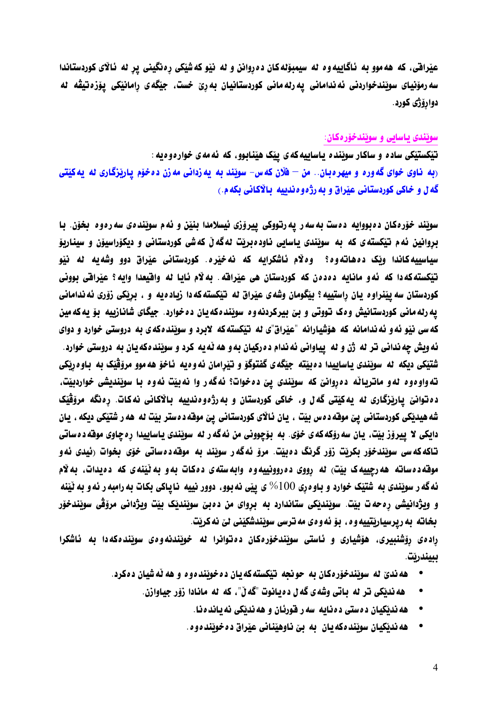عیّرافتی، که هه موو به ناگاییه وه نه سیمبوّنهکان ده روانن و نه نیّو که شیّکی رهنگینی پر نه نالای کوردستاندا سه رمۆنيای سويّندخواردنی ئه ندامانی يه رله مانی کوردستانيان به رێ خست. جيّگه ی رامانيّکی يۆزەتيڤه له دواروّژي کورد .

### سونندی باسایی و سونندخوّره کان:

تیکستیکی ساده و ساکار سوینده پاساییه که ی پیک هینابوو، که ئه مه ی خوارهوهیه : ربه ناوی خوای گه وره و میهره بان.. من – فلّان که س- سویّند به په زدانی مه زن ده خوّم پاریزگاری له په کیّتی گه ل و خاکی کوردستانی عیّراق و به رژه و دندییه بالاکانی بکه م.)

سويّند خوّرهکان دهبووايه دهست به سهر يه رتووکي پيروّزي ئيسلامدا بِنيّن و ئهم سويّندهي سه رهوه بخوّن. با بروانین ئهم تیکسته ی که به سویندی پاسایی ناودهبریت نهگه ل که شی کوردستانی و دیکوراسیون و سیناریو سیاسییه کاندا ویک دههاتهوه؟ وه¥م ناشکرایه که نهخیره. کوردستانی عیراق دوو وشهیه نه نیو تيْكسته كه دا كه نُه و مانايه دهدهن كه كوردستان هي عيْراقه. به لام نايا له واقيعدا وايه؟ عيْراقي بووني كوردستان سه ييّنراوه يان راستييه؟ بيّگومان وشهى عيّراق له تيّكستهكه دا زياده يه و ، بريّكى زوّرى ئه ندامانى يه رله مانی کوردستانيش وهک تووتی و بێ بيرکردنه وه سوێندهکه يان ده خوارد. جيگای شانازييه بوّ يه که مين که سی نیّو ئه و ئه ندامانه که هوّشیارانه "عیّراق"ی له تیّکستهکه لابرد و سویّندهکهی به دروستی خوارد و دوای ئه ویش چه ندانی تر له ژن و له پیاوانی ئه ندام د درکیان به و هه نّه یه کرد و سویّند هکه یان به دروستی خوارد. شتیکی دیکه له سویندی باسابیدا دهبیته جیگهی گفتوگو و تیرامان نهوه به ناخو هه موو مروّڤیک به باوه رنکی ته واودود له و ماترياٽه ددروانيّ که سوٽِندي ييّ ددخوات؟ ئهگه ر وا نه بيّت ئه وه با سوٽِنديشي خواردبيّت، ده توانيّ يارێزگاري له په کێتي گه ل و، خاکي کوردستان و به رژه و دندييه بالاکاني نه کات. رهنگه مروّڤێک شه هیدیکی کوردستانی ییّ موقه دهس بیّت ، یان ئالای کوردستانی پیّ موقه دهستر بیّت له هه ر شتیّکی دیکه ، یان دايكي لا پيروّز بيّت، پان سه روّكه كه ي خوّي. به بوّچووني من ئه گه ر له سويّندي پاساييدا ره چاوي موفّه د ه ساتي تاکه که سی سوێندخوّر بکریّت رُوّر گرنگ دهبیّت. مروّ ئهگه ر سویّند به موقهدهساتی خوّی بخوات (ئیدی ئه و موقه د دساته هه رچیپه ک بیت) له رووی د دروونیپه و د وابه سته ی د دکات به و به نینه ی که د دیدات. به لام ئه گه ر سويندي به شتيک خوارد و باو ه ري 100% ي ييّي نه بوو، دوور نييه نا ياکي بکات به رامبه ر ئه و به ٽينه و ویژدانیشی ره حه ت بیّت. سویندیکی ستاندارد به بروای من دهبیّ سویندیک بیّت ویژدانی مروّقی سویندخوّر بخاته به رپرسیاریتییه وه ، بوّ ئه وهی مه ترسی سویّندشکیّنی لیّ نه کریّت.

رادهی روشنبیری، هوّشیاری و ئاستی سویندخوّرهکان دهتوانرا له خویندنهوهی سویندهکهدا به ئاشکرا ببيندريت.

- هه ندیّ له سونندخوّره کان به حو نحه تیکسته که بان ده خوننده وه و هه نّه شیان ده کرد.
	- هه ندتکی تر له باتی وشه ی گه ل د ه یانوت "گه لٌ". که له مانادا رُوِّر جیاوازن.
		- هه نديكيان ده ستي ده نايه سه ر فورنان و هه نديكي نه يانده نا.
		- هه نديكيان سويند دكه يان به بن ناوهيّناني عيّراق د دخويّند دو د .